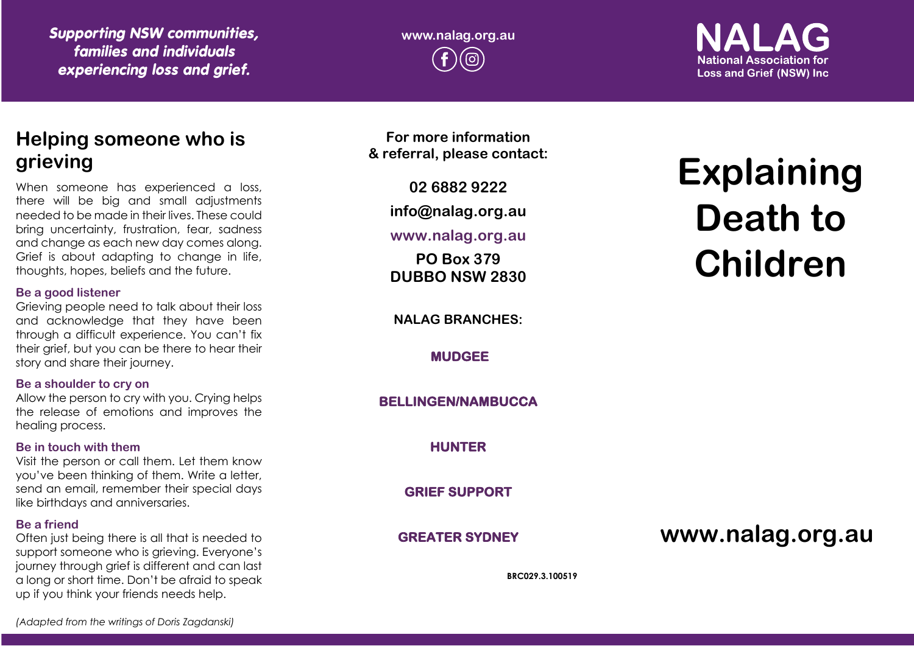*Supporting NSW communities, families and individuals experiencing loss and grief.*

**www.nalag.org.au** ര

**National Association for Loss and Grief (NSW) Inc.** 

## **Helping someone who is grieving**

When someone has experienced a loss, there will be big and small adjustments needed to be made in their lives. These could bring uncertainty, frustration, fear, sadness and change as each new day comes along. Grief is about adapting to change in life, thoughts, hopes, beliefs and the future.

#### **Be a good listener**

Grieving people need to talk about their loss and acknowledge that they have been through a difficult experience. You can't fix their grief, but you can be there to hear their story and share their journey.

## **Be a shoulder to cry on**

Allow the person to cry with you. Crying helps the release of emotions and improves the healing process.

## **Be in touch with them**

Visit the person or call them. Let them know you've been thinking of them. Write a letter, send an email, remember their special days like birthdays and anniversaries.

## **Be a friend**

Often just being there is all that is needed to support someone who is grieving. Everyone's journey through grief is different and can last a long or short time. Don't be afraid to speak up if you think your friends needs help.

**For more information & referral, please contact:**

**02 6882 9222**

**info@nalag.org.au**

## **www.nalag.org.au**

**PO Box 379 DUBBO NSW 2830**

**NALAG BRANCHES:**

**MUDGEE** 

**BELLINGEN/NAMBUCCA** 

**HUNTER** 

**GRIEF SUPPORT** 

**GREATER SYDNEY** 

# **www.nalag.org.au**

**BRC029.3.100519**

# **Explaining Death to Children**

*(Adapted from the writings of Doris Zagdanski)*